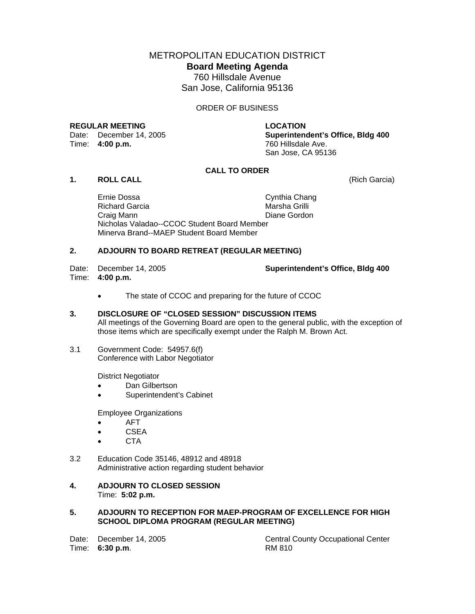METROPOLITAN EDUCATION DISTRICT **Board Meeting Agenda**  760 Hillsdale Avenue San Jose, California 95136

ORDER OF BUSINESS

#### **REGULAR MEETING LOCATION**

Date: December 14, 2005<br>
Time: **4:00 p.m.** 760 Hillsdale Ave.

**Superintendent's Office, Bldg 400** San Jose, CA 95136

# **CALL TO ORDER**

**1. ROLL CALL** (Rich Garcia)

 Ernie Dossa Cynthia Chang Richard Garcia Craig Mann **Diane Gordon**  Nicholas Valadao--CCOC Student Board Member Minerva Brand--MAEP Student Board Member

#### **2. ADJOURN TO BOARD RETREAT (REGULAR MEETING)**

Time: **4:00 p.m.**

Date: December 14, 2005 **Superintendent's Office, Bldg 400**

• The state of CCOC and preparing for the future of CCOC

## **3. DISCLOSURE OF "CLOSED SESSION" DISCUSSION ITEMS**

All meetings of the Governing Board are open to the general public, with the exception of those items which are specifically exempt under the Ralph M. Brown Act.

3.1 Government Code: 54957.6(f) Conference with Labor Negotiator

District Negotiator

- Dan Gilbertson
- Superintendent's Cabinet

Employee Organizations

- AFT
- CSEA
- CTA
- 3.2 Education Code 35146, 48912 and 48918 Administrative action regarding student behavior
- **4. ADJOURN TO CLOSED SESSION**  Time: **5:02 p.m.**

## **5. ADJOURN TO RECEPTION FOR MAEP-PROGRAM OF EXCELLENCE FOR HIGH SCHOOL DIPLOMA PROGRAM (REGULAR MEETING)**

Time: **6:30 p.m**. RM 810

Date: December 14, 2005 Central County Occupational Center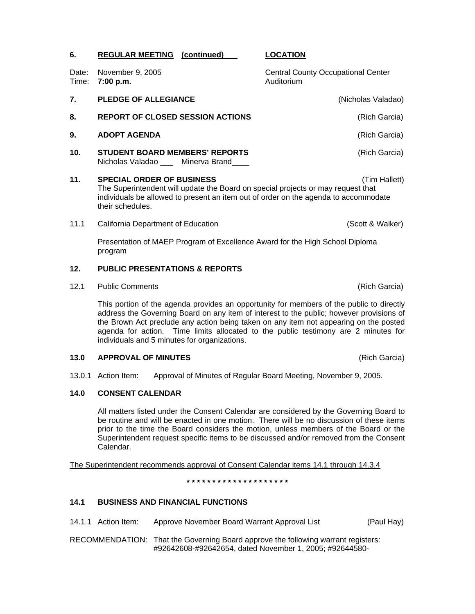| Time: | Date: November 9, 2005<br>7:00 p.m.                                                                                                                                                                                             | <b>Central County Occupational Center</b><br>Auditorium |  |  |  |  |
|-------|---------------------------------------------------------------------------------------------------------------------------------------------------------------------------------------------------------------------------------|---------------------------------------------------------|--|--|--|--|
| 7.    | <b>PLEDGE OF ALLEGIANCE</b>                                                                                                                                                                                                     | (Nicholas Valadao)                                      |  |  |  |  |
| 8.    | <b>REPORT OF CLOSED SESSION ACTIONS</b>                                                                                                                                                                                         | (Rich Garcia)                                           |  |  |  |  |
| 9.    | <b>ADOPT AGENDA</b>                                                                                                                                                                                                             | (Rich Garcia)                                           |  |  |  |  |
| 10.   | <b>STUDENT BOARD MEMBERS' REPORTS</b><br>Nicholas Valadao ___ Minerva Brand____                                                                                                                                                 | (Rich Garcia)                                           |  |  |  |  |
| 11.   | <b>SPECIAL ORDER OF BUSINESS</b><br>The Superintendent will update the Board on special projects or may request that<br>individuals be allowed to present an item out of order on the agenda to accommodate<br>their schedules. | (Tim Hallett)                                           |  |  |  |  |
| 11.1  | California Department of Education                                                                                                                                                                                              | (Scott & Walker)                                        |  |  |  |  |

 Presentation of MAEP Program of Excellence Award for the High School Diploma program

# **12. PUBLIC PRESENTATIONS & REPORTS**

12.1 Public Comments **(Rich Garcia) Public Comments** (Rich Garcia)

This portion of the agenda provides an opportunity for members of the public to directly address the Governing Board on any item of interest to the public; however provisions of the Brown Act preclude any action being taken on any item not appearing on the posted agenda for action. Time limits allocated to the public testimony are 2 minutes for individuals and 5 minutes for organizations.

## **13.0 APPROVAL OF MINUTES** (Rich Garcia)

13.0.1 Action Item: Approval of Minutes of Regular Board Meeting, November 9, 2005.

## **14.0 CONSENT CALENDAR**

All matters listed under the Consent Calendar are considered by the Governing Board to be routine and will be enacted in one motion. There will be no discussion of these items prior to the time the Board considers the motion, unless members of the Board or the Superintendent request specific items to be discussed and/or removed from the Consent Calendar.

The Superintendent recommends approval of Consent Calendar items 14.1 through 14.3.4

**\* \* \* \* \* \* \* \* \* \* \* \* \* \* \* \* \* \* \* \*** 

## **14.1 BUSINESS AND FINANCIAL FUNCTIONS**

14.1.1 Action Item: Approve November Board Warrant Approval List (Paul Hay)

RECOMMENDATION: That the Governing Board approve the following warrant registers: #92642608-#92642654, dated November 1, 2005; #92644580-

**6. REGULAR MEETING (continued) LOCATION**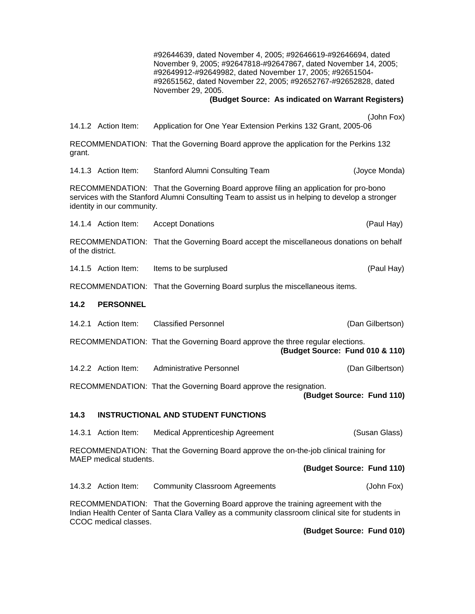#92644639, dated November 4, 2005; #92646619-#92646694, dated November 9, 2005; #92647818-#92647867, dated November 14, 2005; #92649912-#92649982, dated November 17, 2005; #92651504- #92651562, dated November 22, 2005; #92652767-#92652828, dated November 29, 2005.

 **(Budget Source: As indicated on Warrant Registers)** 

|                                                                                                                                                                                                                      |                        |                                                                                                                  | (John Fox)                |  |  |  |
|----------------------------------------------------------------------------------------------------------------------------------------------------------------------------------------------------------------------|------------------------|------------------------------------------------------------------------------------------------------------------|---------------------------|--|--|--|
|                                                                                                                                                                                                                      | 14.1.2 Action Item:    | Application for One Year Extension Perkins 132 Grant, 2005-06                                                    |                           |  |  |  |
| grant.                                                                                                                                                                                                               |                        | RECOMMENDATION: That the Governing Board approve the application for the Perkins 132                             |                           |  |  |  |
|                                                                                                                                                                                                                      | 14.1.3 Action Item:    | Stanford Alumni Consulting Team                                                                                  | (Joyce Monda)             |  |  |  |
| RECOMMENDATION: That the Governing Board approve filing an application for pro-bono<br>services with the Stanford Alumni Consulting Team to assist us in helping to develop a stronger<br>identity in our community. |                        |                                                                                                                  |                           |  |  |  |
|                                                                                                                                                                                                                      | 14.1.4 Action Item:    | <b>Accept Donations</b>                                                                                          | (Paul Hay)                |  |  |  |
| RECOMMENDATION: That the Governing Board accept the miscellaneous donations on behalf<br>of the district.                                                                                                            |                        |                                                                                                                  |                           |  |  |  |
|                                                                                                                                                                                                                      | 14.1.5 Action Item:    | Items to be surplused                                                                                            | (Paul Hay)                |  |  |  |
| RECOMMENDATION: That the Governing Board surplus the miscellaneous items.                                                                                                                                            |                        |                                                                                                                  |                           |  |  |  |
| 14.2                                                                                                                                                                                                                 | <b>PERSONNEL</b>       |                                                                                                                  |                           |  |  |  |
|                                                                                                                                                                                                                      | 14.2.1 Action Item:    | <b>Classified Personnel</b>                                                                                      | (Dan Gilbertson)          |  |  |  |
|                                                                                                                                                                                                                      |                        | RECOMMENDATION: That the Governing Board approve the three regular elections.<br>(Budget Source: Fund 010 & 110) |                           |  |  |  |
|                                                                                                                                                                                                                      | 14.2.2 Action Item:    | <b>Administrative Personnel</b>                                                                                  | (Dan Gilbertson)          |  |  |  |
| RECOMMENDATION: That the Governing Board approve the resignation.<br>(Budget Source: Fund 110)                                                                                                                       |                        |                                                                                                                  |                           |  |  |  |
| 14.3                                                                                                                                                                                                                 |                        | <b>INSTRUCTIONAL AND STUDENT FUNCTIONS</b>                                                                       |                           |  |  |  |
|                                                                                                                                                                                                                      | 14.3.1 Action Item:    | Medical Apprenticeship Agreement                                                                                 | (Susan Glass)             |  |  |  |
| RECOMMENDATION: That the Governing Board approve the on-the-job clinical training for                                                                                                                                |                        |                                                                                                                  |                           |  |  |  |
|                                                                                                                                                                                                                      | MAEP medical students. |                                                                                                                  | (Budget Source: Fund 110) |  |  |  |
|                                                                                                                                                                                                                      | 14.3.2 Action Item:    | <b>Community Classroom Agreements</b>                                                                            | (John Fox)                |  |  |  |
| RECOMMENDATION: That the Governing Board approve the training agreement with the<br>Indian Health Center of Santa Clara Valley as a community classroom clinical site for students in<br>CCOC medical classes.       |                        |                                                                                                                  |                           |  |  |  |

**(Budget Source: Fund 010)**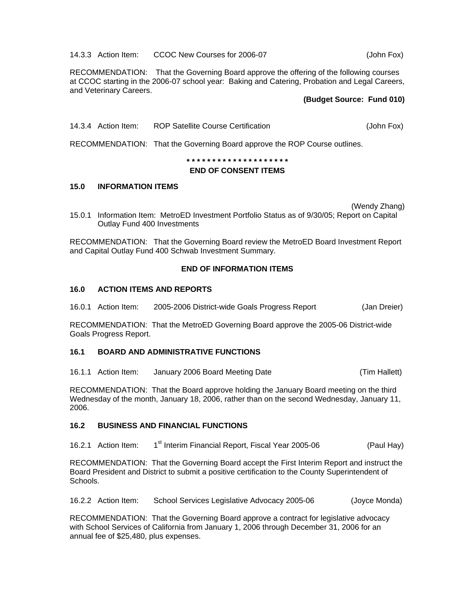14.3.3 Action Item: CCOC New Courses for 2006-07 (John Fox)

RECOMMENDATION: That the Governing Board approve the offering of the following courses at CCOC starting in the 2006-07 school year: Baking and Catering, Probation and Legal Careers, and Veterinary Careers.

# **(Budget Source: Fund 010)**

14.3.4 Action Item: ROP Satellite Course Certification **(John Fox)** (John Fox)

RECOMMENDATION: That the Governing Board approve the ROP Course outlines.

**\* \* \* \* \* \* \* \* \* \* \* \* \* \* \* \* \* \* \* \*** 

## **END OF CONSENT ITEMS**

## **15.0 INFORMATION ITEMS**

(Wendy Zhang)

15.0.1 Information Item: MetroED Investment Portfolio Status as of 9/30/05; Report on Capital Outlay Fund 400 Investments

RECOMMENDATION: That the Governing Board review the MetroED Board Investment Report and Capital Outlay Fund 400 Schwab Investment Summary.

# **END OF INFORMATION ITEMS**

## **16.0 ACTION ITEMS AND REPORTS**

16.0.1 Action Item: 2005-2006 District-wide Goals Progress Report (Jan Dreier)

RECOMMENDATION: That the MetroED Governing Board approve the 2005-06 District-wide Goals Progress Report.

# **16.1 BOARD AND ADMINISTRATIVE FUNCTIONS**

16.1.1 Action Item: January 2006 Board Meeting Date (Tim Hallett)

RECOMMENDATION: That the Board approve holding the January Board meeting on the third Wednesday of the month, January 18, 2006, rather than on the second Wednesday, January 11, 2006.

## **16.2 BUSINESS AND FINANCIAL FUNCTIONS**

16.2.1 Action Item: 1<sup>st</sup> Interim Financial Report, Fiscal Year 2005-06 (Paul Hay)

RECOMMENDATION: That the Governing Board accept the First Interim Report and instruct the Board President and District to submit a positive certification to the County Superintendent of Schools.

16.2.2 Action Item: School Services Legislative Advocacy 2005-06 (Joyce Monda)

RECOMMENDATION: That the Governing Board approve a contract for legislative advocacy with School Services of California from January 1, 2006 through December 31, 2006 for an annual fee of \$25,480, plus expenses.